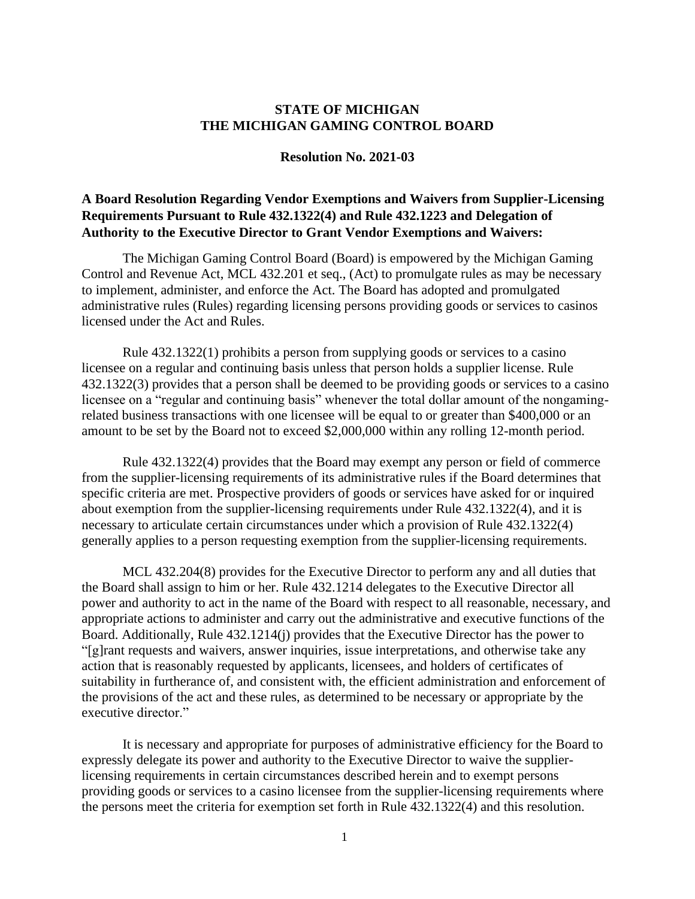## **STATE OF MICHIGAN THE MICHIGAN GAMING CONTROL BOARD**

## **Resolution No. 2021-03**

## **A Board Resolution Regarding Vendor Exemptions and Waivers from Supplier-Licensing Requirements Pursuant to Rule 432.1322(4) and Rule 432.1223 and Delegation of Authority to the Executive Director to Grant Vendor Exemptions and Waivers:**

The Michigan Gaming Control Board (Board) is empowered by the Michigan Gaming Control and Revenue Act, MCL 432.201 et seq., (Act) to promulgate rules as may be necessary to implement, administer, and enforce the Act. The Board has adopted and promulgated administrative rules (Rules) regarding licensing persons providing goods or services to casinos licensed under the Act and Rules.

Rule 432.1322(1) prohibits a person from supplying goods or services to a casino licensee on a regular and continuing basis unless that person holds a supplier license. Rule 432.1322(3) provides that a person shall be deemed to be providing goods or services to a casino licensee on a "regular and continuing basis" whenever the total dollar amount of the nongamingrelated business transactions with one licensee will be equal to or greater than \$400,000 or an amount to be set by the Board not to exceed \$2,000,000 within any rolling 12-month period.

Rule 432.1322(4) provides that the Board may exempt any person or field of commerce from the supplier-licensing requirements of its administrative rules if the Board determines that specific criteria are met. Prospective providers of goods or services have asked for or inquired about exemption from the supplier-licensing requirements under Rule 432.1322(4), and it is necessary to articulate certain circumstances under which a provision of Rule 432.1322(4) generally applies to a person requesting exemption from the supplier-licensing requirements.

MCL 432.204(8) provides for the Executive Director to perform any and all duties that the Board shall assign to him or her. Rule 432.1214 delegates to the Executive Director all power and authority to act in the name of the Board with respect to all reasonable, necessary, and appropriate actions to administer and carry out the administrative and executive functions of the Board. Additionally, Rule 432.1214(j) provides that the Executive Director has the power to "[g]rant requests and waivers, answer inquiries, issue interpretations, and otherwise take any action that is reasonably requested by applicants, licensees, and holders of certificates of suitability in furtherance of, and consistent with, the efficient administration and enforcement of the provisions of the act and these rules, as determined to be necessary or appropriate by the executive director."

It is necessary and appropriate for purposes of administrative efficiency for the Board to expressly delegate its power and authority to the Executive Director to waive the supplierlicensing requirements in certain circumstances described herein and to exempt persons providing goods or services to a casino licensee from the supplier-licensing requirements where the persons meet the criteria for exemption set forth in Rule 432.1322(4) and this resolution.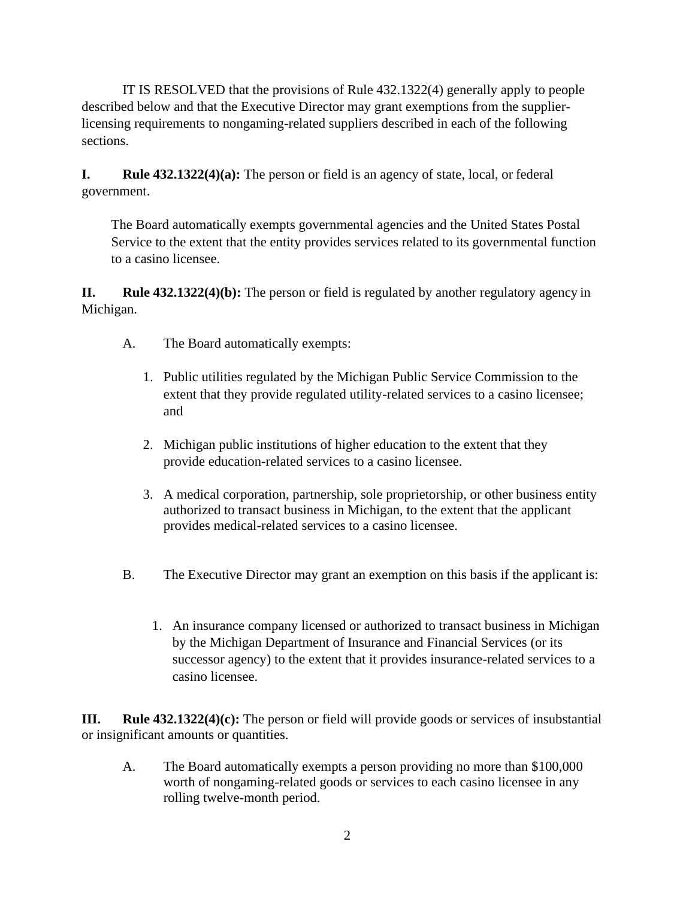IT IS RESOLVED that the provisions of Rule 432.1322(4) generally apply to people described below and that the Executive Director may grant exemptions from the supplierlicensing requirements to nongaming-related suppliers described in each of the following sections.

**I. Rule 432.1322(4)(a):** The person or field is an agency of state, local, or federal government.

The Board automatically exempts governmental agencies and the United States Postal Service to the extent that the entity provides services related to its governmental function to a casino licensee.

**II. Rule 432.1322(4)(b):** The person or field is regulated by another regulatory agency in Michigan.

- A. The Board automatically exempts:
	- 1. Public utilities regulated by the Michigan Public Service Commission to the extent that they provide regulated utility-related services to a casino licensee; and
	- 2. Michigan public institutions of higher education to the extent that they provide education**-**related services to a casino licensee.
	- 3. A medical corporation, partnership, sole proprietorship, or other business entity authorized to transact business in Michigan, to the extent that the applicant provides medical-related services to a casino licensee.
- B. The Executive Director may grant an exemption on this basis if the applicant is:
	- 1. An insurance company licensed or authorized to transact business in Michigan by the Michigan Department of Insurance and Financial Services (or its successor agency) to the extent that it provides insurance-related services to a casino licensee.

**III. Rule 432.1322(4)(c):** The person or field will provide goods or services of insubstantial or insignificant amounts or quantities.

A. The Board automatically exempts a person providing no more than \$100,000 worth of nongaming-related goods or services to each casino licensee in any rolling twelve-month period.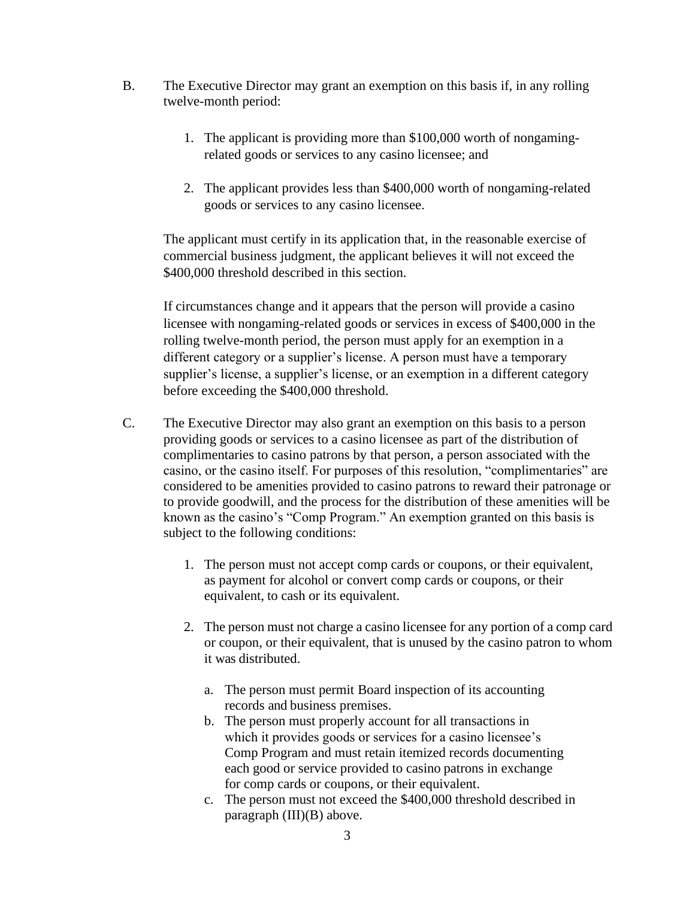- B. The Executive Director may grant an exemption on this basis if, in any rolling twelve-month period:
	- 1. The applicant is providing more than \$100,000 worth of nongamingrelated goods or services to any casino licensee; and
	- 2. The applicant provides less than \$400,000 worth of nongaming-related goods or services to any casino licensee.

The applicant must certify in its application that, in the reasonable exercise of commercial business judgment, the applicant believes it will not exceed the \$400,000 threshold described in this section.

If circumstances change and it appears that the person will provide a casino licensee with nongaming-related goods or services in excess of \$400,000 in the rolling twelve-month period, the person must apply for an exemption in a different category or a supplier's license. A person must have a temporary supplier's license, a supplier's license, or an exemption in a different category before exceeding the \$400,000 threshold.

- C. The Executive Director may also grant an exemption on this basis to a person providing goods or services to a casino licensee as part of the distribution of complimentaries to casino patrons by that person, a person associated with the casino, or the casino itself. For purposes of this resolution, "complimentaries" are considered to be amenities provided to casino patrons to reward their patronage or to provide goodwill, and the process for the distribution of these amenities will be known as the casino's "Comp Program." An exemption granted on this basis is subject to the following conditions:
	- 1. The person must not accept comp cards or coupons, or their equivalent, as payment for alcohol or convert comp cards or coupons, or their equivalent, to cash or its equivalent.
	- 2. The person must not charge a casino licensee for any portion of a comp card or coupon, or their equivalent, that is unused by the casino patron to whom it was distributed.
		- a. The person must permit Board inspection of its accounting records and business premises.
		- b. The person must properly account for all transactions in which it provides goods or services for a casino licensee's Comp Program and must retain itemized records documenting each good or service provided to casino patrons in exchange for comp cards or coupons, or their equivalent.
		- c. The person must not exceed the \$400,000 threshold described in paragraph (III)(B) above.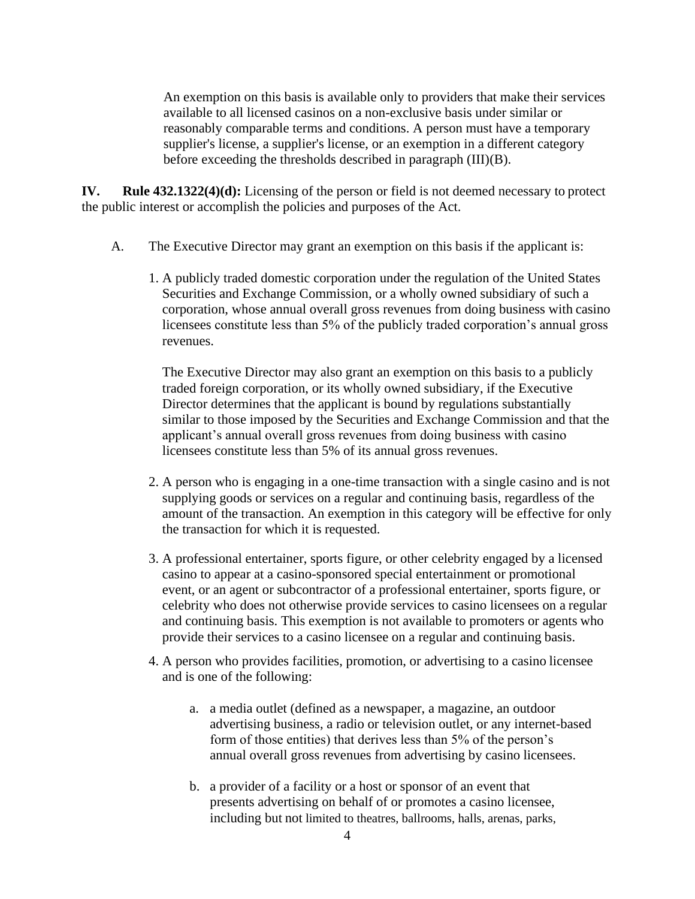An exemption on this basis is available only to providers that make their services available to all licensed casinos on a non-exclusive basis under similar or reasonably comparable terms and conditions. A person must have a temporary supplier's license, a supplier's license, or an exemption in a different category before exceeding the thresholds described in paragraph (III)(B).

**IV. Rule 432.1322(4)(d):** Licensing of the person or field is not deemed necessary to protect the public interest or accomplish the policies and purposes of the Act.

- A. The Executive Director may grant an exemption on this basis if the applicant is:
	- 1. A publicly traded domestic corporation under the regulation of the United States Securities and Exchange Commission, or a wholly owned subsidiary of such a corporation, whose annual overall gross revenues from doing business with casino licensees constitute less than 5% of the publicly traded corporation's annual gross revenues.

The Executive Director may also grant an exemption on this basis to a publicly traded foreign corporation, or its wholly owned subsidiary, if the Executive Director determines that the applicant is bound by regulations substantially similar to those imposed by the Securities and Exchange Commission and that the applicant's annual overall gross revenues from doing business with casino licensees constitute less than 5% of its annual gross revenues.

- 2. A person who is engaging in a one-time transaction with a single casino and is not supplying goods or services on a regular and continuing basis, regardless of the amount of the transaction. An exemption in this category will be effective for only the transaction for which it is requested.
- 3. A professional entertainer, sports figure, or other celebrity engaged by a licensed casino to appear at a casino-sponsored special entertainment or promotional event, or an agent or subcontractor of a professional entertainer, sports figure, or celebrity who does not otherwise provide services to casino licensees on a regular and continuing basis. This exemption is not available to promoters or agents who provide their services to a casino licensee on a regular and continuing basis.
- 4. A person who provides facilities, promotion, or advertising to a casino licensee and is one of the following:
	- a. a media outlet (defined as a newspaper, a magazine, an outdoor advertising business, a radio or television outlet, or any internet-based form of those entities) that derives less than 5% of the person's annual overall gross revenues from advertising by casino licensees.
	- b. a provider of a facility or a host or sponsor of an event that presents advertising on behalf of or promotes a casino licensee, including but not limited to theatres, ballrooms, halls, arenas, parks,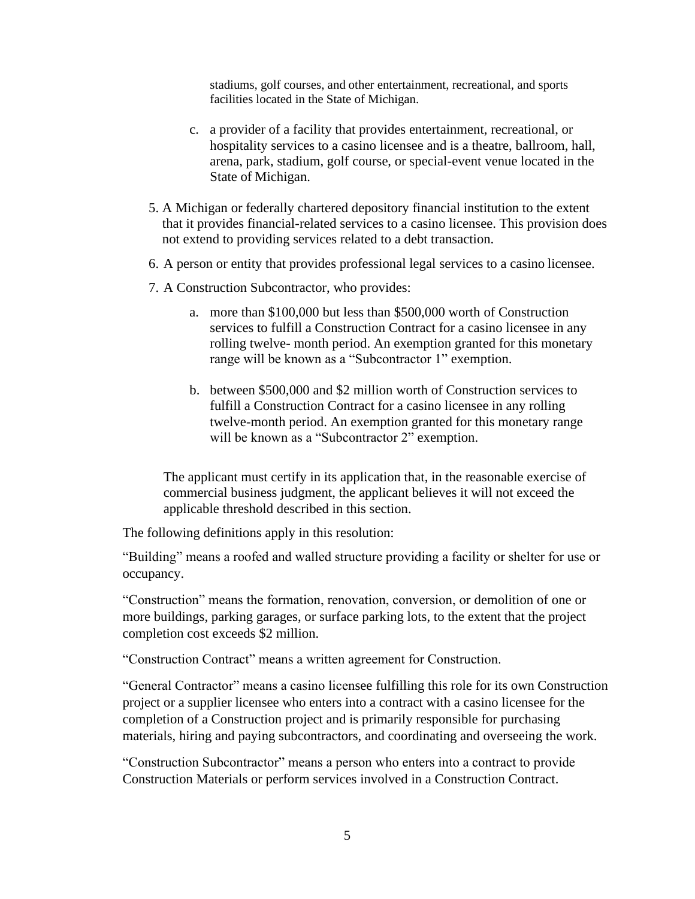stadiums, golf courses, and other entertainment, recreational, and sports facilities located in the State of Michigan.

- c. a provider of a facility that provides entertainment, recreational, or hospitality services to a casino licensee and is a theatre, ballroom, hall, arena, park, stadium, golf course, or special-event venue located in the State of Michigan.
- 5. A Michigan or federally chartered depository financial institution to the extent that it provides financial-related services to a casino licensee. This provision does not extend to providing services related to a debt transaction.
- 6. A person or entity that provides professional legal services to a casino licensee.
- 7. A Construction Subcontractor, who provides:
	- a. more than \$100,000 but less than \$500,000 worth of Construction services to fulfill a Construction Contract for a casino licensee in any rolling twelve- month period. An exemption granted for this monetary range will be known as a "Subcontractor 1" exemption.
	- b. between \$500,000 and \$2 million worth of Construction services to fulfill a Construction Contract for a casino licensee in any rolling twelve-month period. An exemption granted for this monetary range will be known as a "Subcontractor 2" exemption.

The applicant must certify in its application that, in the reasonable exercise of commercial business judgment, the applicant believes it will not exceed the applicable threshold described in this section.

The following definitions apply in this resolution:

"Building" means a roofed and walled structure providing a facility or shelter for use or occupancy.

"Construction" means the formation, renovation, conversion, or demolition of one or more buildings, parking garages, or surface parking lots, to the extent that the project completion cost exceeds \$2 million.

"Construction Contract" means a written agreement for Construction.

"General Contractor" means a casino licensee fulfilling this role for its own Construction project or a supplier licensee who enters into a contract with a casino licensee for the completion of a Construction project and is primarily responsible for purchasing materials, hiring and paying subcontractors, and coordinating and overseeing the work.

"Construction Subcontractor" means a person who enters into a contract to provide Construction Materials or perform services involved in a Construction Contract.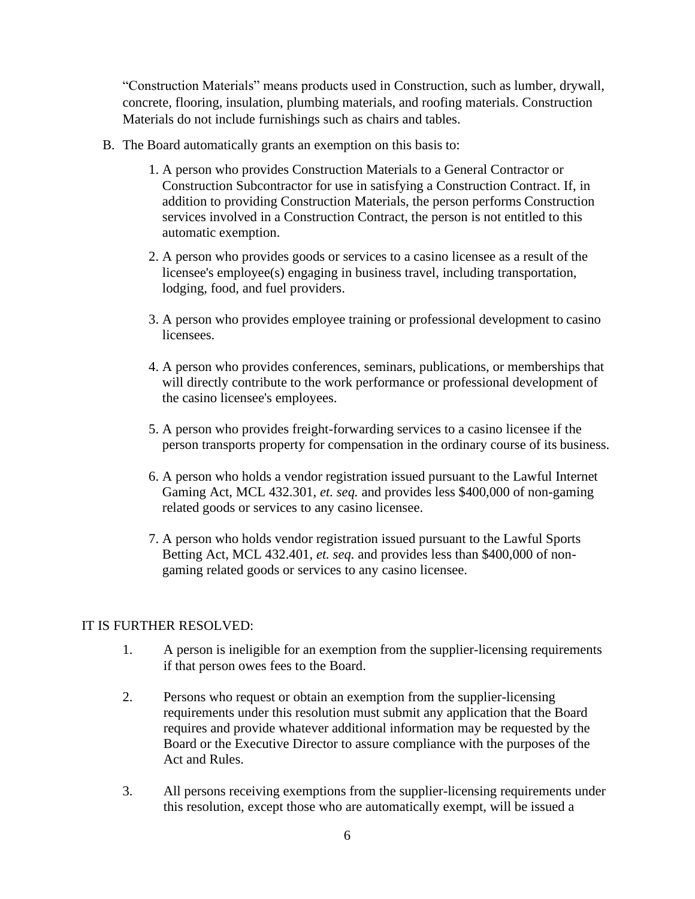"Construction Materials" means products used in Construction, such as lumber, drywall, concrete, flooring, insulation, plumbing materials, and roofing materials. Construction Materials do not include furnishings such as chairs and tables.

- B. The Board automatically grants an exemption on this basis to:
	- 1. A person who provides Construction Materials to a General Contractor or Construction Subcontractor for use in satisfying a Construction Contract. If, in addition to providing Construction Materials, the person performs Construction services involved in a Construction Contract, the person is not entitled to this automatic exemption.
	- 2. A person who provides goods or services to a casino licensee as a result of the licensee's employee(s) engaging in business travel, including transportation, lodging, food, and fuel providers.
	- 3. A person who provides employee training or professional development to casino licensees.
	- 4. A person who provides conferences, seminars, publications, or memberships that will directly contribute to the work performance or professional development of the casino licensee's employees.
	- 5. A person who provides freight-forwarding services to a casino licensee if the person transports property for compensation in the ordinary course of its business.
	- 6. A person who holds a vendor registration issued pursuant to the Lawful Internet Gaming Act, MCL 432.301, *et. seq.* and provides less \$400,000 of non-gaming related goods or services to any casino licensee.
	- 7. A person who holds vendor registration issued pursuant to the Lawful Sports Betting Act, MCL 432.401, *et. seq.* and provides less than \$400,000 of nongaming related goods or services to any casino licensee.

## IT IS FURTHER RESOLVED:

- 1. A person is ineligible for an exemption from the supplier-licensing requirements if that person owes fees to the Board.
- 2. Persons who request or obtain an exemption from the supplier-licensing requirements under this resolution must submit any application that the Board requires and provide whatever additional information may be requested by the Board or the Executive Director to assure compliance with the purposes of the Act and Rules.
- 3. All persons receiving exemptions from the supplier-licensing requirements under this resolution, except those who are automatically exempt, will be issued a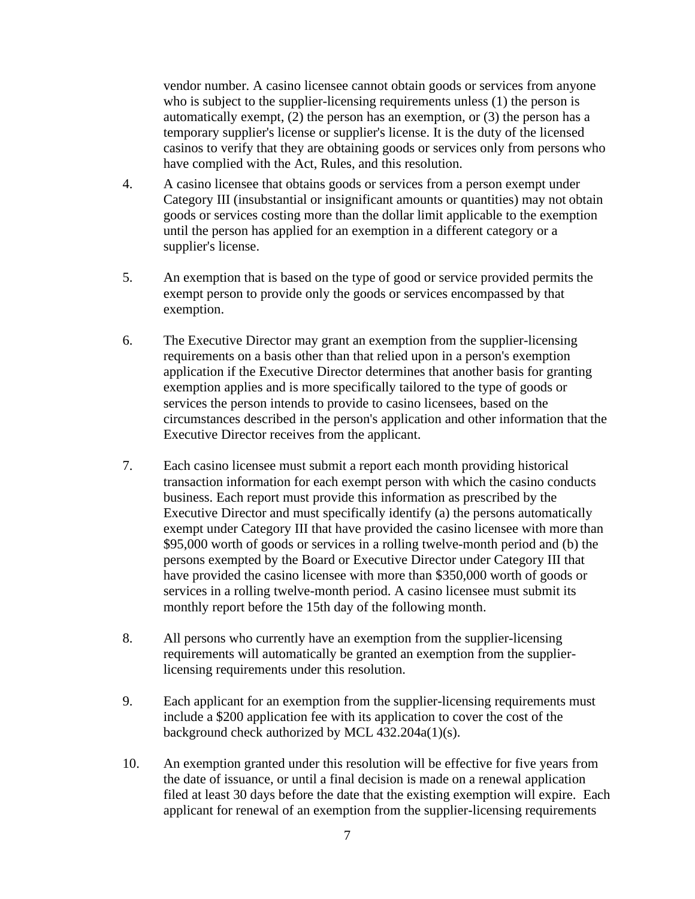vendor number. A casino licensee cannot obtain goods or services from anyone who is subject to the supplier-licensing requirements unless (1) the person is automatically exempt, (2) the person has an exemption, or (3) the person has a temporary supplier's license or supplier's license. It is the duty of the licensed casinos to verify that they are obtaining goods or services only from persons who have complied with the Act, Rules, and this resolution.

- 4. A casino licensee that obtains goods or services from a person exempt under Category III (insubstantial or insignificant amounts or quantities) may not obtain goods or services costing more than the dollar limit applicable to the exemption until the person has applied for an exemption in a different category or a supplier's license.
- 5. An exemption that is based on the type of good or service provided permits the exempt person to provide only the goods or services encompassed by that exemption.
- 6. The Executive Director may grant an exemption from the supplier-licensing requirements on a basis other than that relied upon in a person's exemption application if the Executive Director determines that another basis for granting exemption applies and is more specifically tailored to the type of goods or services the person intends to provide to casino licensees, based on the circumstances described in the person's application and other information that the Executive Director receives from the applicant.
- 7. Each casino licensee must submit a report each month providing historical transaction information for each exempt person with which the casino conducts business. Each report must provide this information as prescribed by the Executive Director and must specifically identify (a) the persons automatically exempt under Category III that have provided the casino licensee with more than \$95,000 worth of goods or services in a rolling twelve-month period and (b) the persons exempted by the Board or Executive Director under Category III that have provided the casino licensee with more than \$350,000 worth of goods or services in a rolling twelve-month period. A casino licensee must submit its monthly report before the 15th day of the following month.
- 8. All persons who currently have an exemption from the supplier-licensing requirements will automatically be granted an exemption from the supplierlicensing requirements under this resolution.
- 9. Each applicant for an exemption from the supplier-licensing requirements must include a \$200 application fee with its application to cover the cost of the background check authorized by MCL 432.204a(1)(s).
- 10. An exemption granted under this resolution will be effective for five years from the date of issuance, or until a final decision is made on a renewal application filed at least 30 days before the date that the existing exemption will expire. Each applicant for renewal of an exemption from the supplier-licensing requirements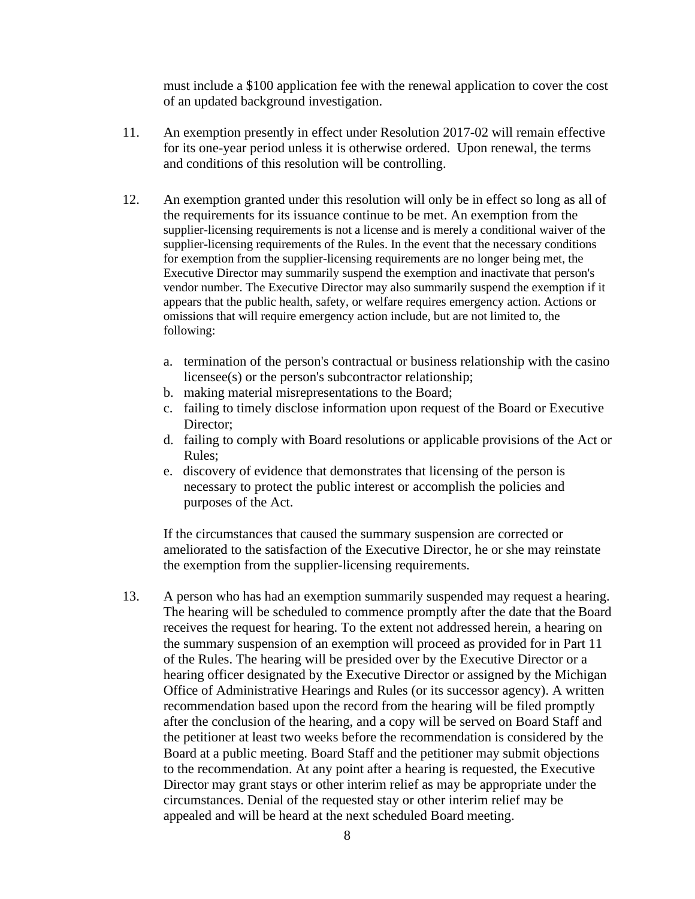must include a \$100 application fee with the renewal application to cover the cost of an updated background investigation.

- 11. An exemption presently in effect under Resolution 2017-02 will remain effective for its one-year period unless it is otherwise ordered. Upon renewal, the terms and conditions of this resolution will be controlling.
- 12. An exemption granted under this resolution will only be in effect so long as all of the requirements for its issuance continue to be met. An exemption from the supplier-licensing requirements is not a license and is merely a conditional waiver of the supplier-licensing requirements of the Rules. In the event that the necessary conditions for exemption from the supplier-licensing requirements are no longer being met, the Executive Director may summarily suspend the exemption and inactivate that person's vendor number. The Executive Director may also summarily suspend the exemption if it appears that the public health, safety, or welfare requires emergency action. Actions or omissions that will require emergency action include, but are not limited to, the following:
	- a. termination of the person's contractual or business relationship with the casino licensee(s) or the person's subcontractor relationship;
	- b. making material misrepresentations to the Board;
	- c. failing to timely disclose information upon request of the Board or Executive Director;
	- d. failing to comply with Board resolutions or applicable provisions of the Act or Rules;
	- e. discovery of evidence that demonstrates that licensing of the person is necessary to protect the public interest or accomplish the policies and purposes of the Act.

If the circumstances that caused the summary suspension are corrected or ameliorated to the satisfaction of the Executive Director, he or she may reinstate the exemption from the supplier-licensing requirements.

13. A person who has had an exemption summarily suspended may request a hearing. The hearing will be scheduled to commence promptly after the date that the Board receives the request for hearing. To the extent not addressed herein, a hearing on the summary suspension of an exemption will proceed as provided for in Part 11 of the Rules. The hearing will be presided over by the Executive Director or a hearing officer designated by the Executive Director or assigned by the Michigan Office of Administrative Hearings and Rules (or its successor agency). A written recommendation based upon the record from the hearing will be filed promptly after the conclusion of the hearing, and a copy will be served on Board Staff and the petitioner at least two weeks before the recommendation is considered by the Board at a public meeting. Board Staff and the petitioner may submit objections to the recommendation. At any point after a hearing is requested, the Executive Director may grant stays or other interim relief as may be appropriate under the circumstances. Denial of the requested stay or other interim relief may be appealed and will be heard at the next scheduled Board meeting.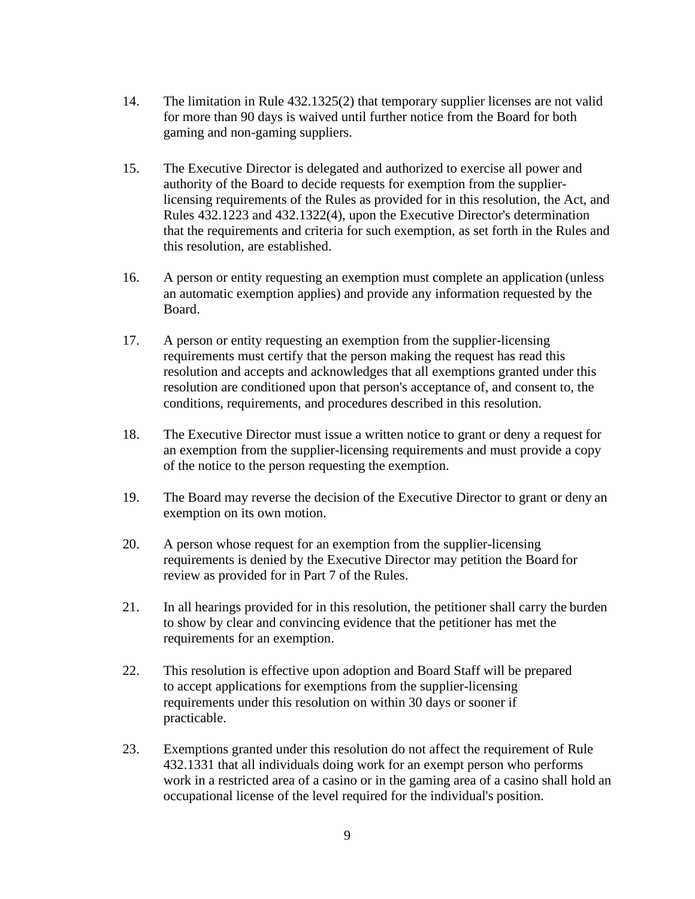- 14. The limitation in Rule 432.1325(2) that temporary supplier licenses are not valid for more than 90 days is waived until further notice from the Board for both gaming and non-gaming suppliers.
- 15. The Executive Director is delegated and authorized to exercise all power and authority of the Board to decide requests for exemption from the supplierlicensing requirements of the Rules as provided for in this resolution, the Act, and Rules 432.1223 and 432.1322(4), upon the Executive Director's determination that the requirements and criteria for such exemption, as set forth in the Rules and this resolution, are established.
- 16. A person or entity requesting an exemption must complete an application (unless an automatic exemption applies) and provide any information requested by the Board.
- 17. A person or entity requesting an exemption from the supplier-licensing requirements must certify that the person making the request has read this resolution and accepts and acknowledges that all exemptions granted under this resolution are conditioned upon that person's acceptance of, and consent to, the conditions, requirements, and procedures described in this resolution.
- 18. The Executive Director must issue a written notice to grant or deny a request for an exemption from the supplier-licensing requirements and must provide a copy of the notice to the person requesting the exemption.
- 19. The Board may reverse the decision of the Executive Director to grant or deny an exemption on its own motion.
- 20. A person whose request for an exemption from the supplier-licensing requirements is denied by the Executive Director may petition the Board for review as provided for in Part 7 of the Rules.
- 21. In all hearings provided for in this resolution, the petitioner shall carry the burden to show by clear and convincing evidence that the petitioner has met the requirements for an exemption.
- 22. This resolution is effective upon adoption and Board Staff will be prepared to accept applications for exemptions from the supplier-licensing requirements under this resolution on within 30 days or sooner if practicable.
- 23. Exemptions granted under this resolution do not affect the requirement of Rule 432.1331 that all individuals doing work for an exempt person who performs work in a restricted area of a casino or in the gaming area of a casino shall hold an occupational license of the level required for the individual's position.